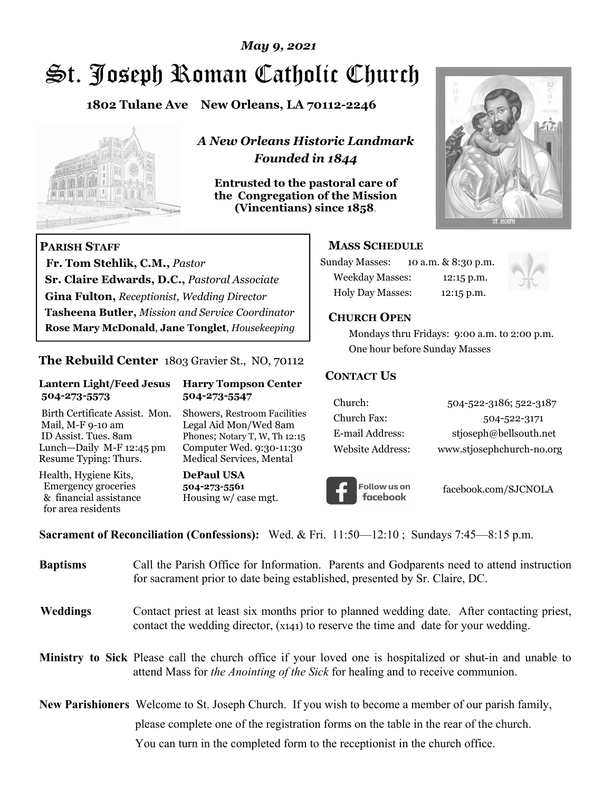# *May 9, 2021*

# St. Joseph Roman Catholic Church

**1802 Tulane Ave New Orleans, LA 70112-2246**



 **Fr. Tom Stehlik, C.M.,** *Pastor* 

**Sr. Claire Edwards, D.C.,** *Pastoral Associate* **Gina Fulton,** *Receptionist, Wedding Director* 

**Tasheena Butler,** *Mission and Service Coordinator* **Rose Mary McDonald**, **Jane Tonglet**, *Housekeeping*

**The Rebuild Center** 1803 Gravier St., NO, 70112

**Lantern Light/Feed Jesus Harry Tompson Center** 

Birth Certificate Assist. Mon. Showers, Restroom Facilities Mail, M-F 9-10 am Legal Aid Mon/Wed 8am ID Assist. Tues. 8am Phones; Notary T, W, Th 12:15 Lunch—Daily M-F 12:45 pm Computer Wed. 9:30-11:30 Resume Typing: Thurs. Medical Services, Mental

 **504-273-5573 504-273-5547** 

Health, Hygiene Kits, **DePaul USA**  Emergency groceries **504-273-5561**

& financial assistance Housing w/ case mgt.

**PARISH STAFF**

for area residents

*A New Orleans Historic Landmark Founded in 1844* 

**Entrusted to the pastoral care of the Congregation of the Mission (Vincentians) since 1858**.



### **MASS SCHEDULE**

| <b>Sunday Masses:</b>  | 10 a.m. & 8:30 p.m. |
|------------------------|---------------------|
| <b>Weekday Masses:</b> | $12:15$ p.m.        |
| Holy Day Masses:       | 12:15 p.m.          |



### **CHURCH OPEN**

 Mondays thru Fridays: 9:00 a.m. to 2:00 p.m. One hour before Sunday Masses

### **CONTACT US**

| Church:          | 504-522-3186; 522-3187    |
|------------------|---------------------------|
| Church Fax:      | 504-522-3171              |
| E-mail Address:  | stjoseph@bellsouth.net    |
| Website Address: | www.stjosephchurch-no.org |



facebook.com/SJCNOLA

**Sacrament of Reconciliation (Confessions):** Wed. & Fri. 11:50—12:10 ; Sundays 7:45—8:15 p.m.

| <b>Baptisms</b> | Call the Parish Office for Information. Parents and Godparents need to attend instruction<br>for sacrament prior to date being established, presented by Sr. Claire, DC.                            |
|-----------------|-----------------------------------------------------------------------------------------------------------------------------------------------------------------------------------------------------|
| <b>Weddings</b> | Contact priest at least six months prior to planned wedding date. After contacting priest,<br>contact the wedding director, (x141) to reserve the time and date for your wedding.                   |
|                 | Ministry to Sick Please call the church office if your loved one is hospitalized or shut-in and unable to<br>attend Mass for <i>the Anointing of the Sick</i> for healing and to receive communion. |
|                 | <b>New Parishioners</b> Welcome to St. Joseph Church. If you wish to become a member of our parish family,                                                                                          |
|                 | please complete one of the registration forms on the table in the rear of the church.                                                                                                               |
|                 | You can turn in the completed form to the receptionist in the church office.                                                                                                                        |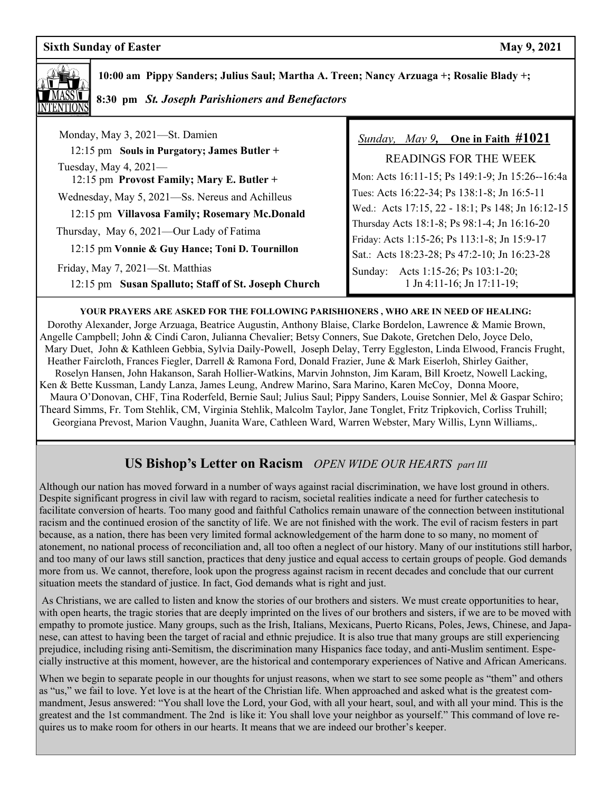

 **10:00 am Pippy Sanders; Julius Saul; Martha A. Treen; Nancy Arzuaga +; Rosalie Blady +;** 

 **8:30 pm** *St. Joseph Parishioners and Benefactors*

 Monday, May 3, 2021—St. Damien 12:15 pm **Souls in Purgatory; James Butler +**  Tuesday, May 4, 2021— 12:15 pm **Provost Family; Mary E. Butler +**  Wednesday, May 5, 2021—Ss. Nereus and Achilleus 12:15 pm **Villavosa Family; Rosemary Mc.Donald** Thursday, May 6, 2021—Our Lady of Fatima 12:15 pm **Vonnie & Guy Hance; Toni D. Tournillon**

Friday, May 7, 2021—St. Matthias

12:15 pm **Susan Spalluto; Staff of St. Joseph Church**

## *Sunday, May 9,* **One in Faith #1021**

READINGS FOR THE WEEK Mon: Acts 16:11-15; Ps 149:1-9; Jn 15:26--16:4a Tues: Acts 16:22-34; Ps 138:1-8; Jn 16:5-11 Wed.: Acts 17:15, 22 - 18:1; Ps 148; Jn 16:12-15 Thursday Acts 18:1-8; Ps 98:1-4; Jn 16:16-20 Friday: Acts 1:15-26; Ps 113:1-8; Jn 15:9-17 Sat.: Acts 18:23-28; Ps 47:2-10; Jn 16:23-28 Sunday: Acts 1:15-26; Ps 103:1-20; 1 Jn 4:11-16; Jn 17:11-19;

#### **YOUR PRAYERS ARE ASKED FOR THE FOLLOWING PARISHIONERS , WHO ARE IN NEED OF HEALING:**

 Dorothy Alexander, Jorge Arzuaga, Beatrice Augustin, Anthony Blaise, Clarke Bordelon, Lawrence & Mamie Brown, Angelle Campbell; John & Cindi Caron, Julianna Chevalier; Betsy Conners, Sue Dakote, Gretchen Delo, Joyce Delo, Mary Duet, John & Kathleen Gebbia, Sylvia Daily-Powell, Joseph Delay, Terry Eggleston, Linda Elwood, Francis Frught, Heather Faircloth, Frances Fiegler, Darrell & Ramona Ford, Donald Frazier, June & Mark Eiserloh, Shirley Gaither, Roselyn Hansen, John Hakanson, Sarah Hollier-Watkins, Marvin Johnston, Jim Karam, Bill Kroetz, Nowell Lacking, Ken & Bette Kussman, Landy Lanza, James Leung, Andrew Marino, Sara Marino, Karen McCoy, Donna Moore, Maura O'Donovan, CHF, Tina Roderfeld, Bernie Saul; Julius Saul; Pippy Sanders, Louise Sonnier, Mel & Gaspar Schiro; Theard Simms, Fr. Tom Stehlik, CM, Virginia Stehlik, Malcolm Taylor, Jane Tonglet, Fritz Tripkovich, Corliss Truhill; Georgiana Prevost, Marion Vaughn, Juanita Ware, Cathleen Ward, Warren Webster, Mary Willis, Lynn Williams,.

# **US Bishop's Letter on Racism** *OPEN WIDE OUR HEARTS part III*

Although our nation has moved forward in a number of ways against racial discrimination, we have lost ground in others. Despite significant progress in civil law with regard to racism, societal realities indicate a need for further catechesis to facilitate conversion of hearts. Too many good and faithful Catholics remain unaware of the connection between institutional racism and the continued erosion of the sanctity of life. We are not finished with the work. The evil of racism festers in part because, as a nation, there has been very limited formal acknowledgement of the harm done to so many, no moment of atonement, no national process of reconciliation and, all too often a neglect of our history. Many of our institutions still harbor, and too many of our laws still sanction, practices that deny justice and equal access to certain groups of people. God demands more from us. We cannot, therefore, look upon the progress against racism in recent decades and conclude that our current situation meets the standard of justice. In fact, God demands what is right and just.

 As Christians, we are called to listen and know the stories of our brothers and sisters. We must create opportunities to hear, with open hearts, the tragic stories that are deeply imprinted on the lives of our brothers and sisters, if we are to be moved with empathy to promote justice. Many groups, such as the Irish, Italians, Mexicans, Puerto Ricans, Poles, Jews, Chinese, and Japanese, can attest to having been the target of racial and ethnic prejudice. It is also true that many groups are still experiencing prejudice, including rising anti-Semitism, the discrimination many Hispanics face today, and anti-Muslim sentiment. Especially instructive at this moment, however, are the historical and contemporary experiences of Native and African Americans.

When we begin to separate people in our thoughts for unjust reasons, when we start to see some people as "them" and others as "us," we fail to love. Yet love is at the heart of the Christian life. When approached and asked what is the greatest commandment, Jesus answered: "You shall love the Lord, your God, with all your heart, soul, and with all your mind. This is the greatest and the 1st commandment. The 2nd is like it: You shall love your neighbor as yourself." This command of love requires us to make room for others in our hearts. It means that we are indeed our brother's keeper.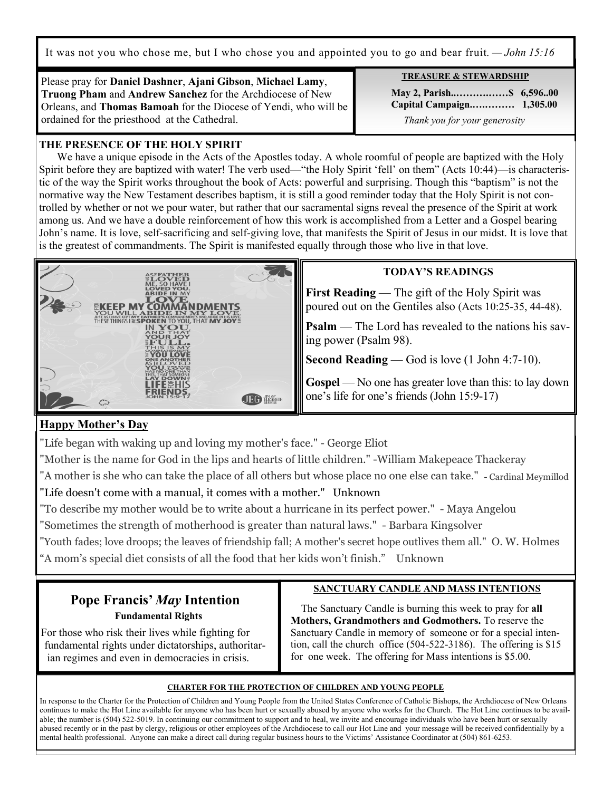It was not you who chose me, but I who chose you and appointed you to go and bear fruit. *— John 15:16*

Please pray for **Daniel Dashner**, **Ajani Gibson**, **Michael Lamy**, **Truong Pham** and **Andrew Sanchez** for the Archdiocese of New Orleans, and **Thomas Bamoah** for the Diocese of Yendi, who will be ordained for the priesthood at the Cathedral.

# **THE PRESENCE OF THE HOLY SPIRIT**

 We have a unique episode in the Acts of the Apostles today. A whole roomful of people are baptized with the Holy Spirit before they are baptized with water! The verb used—"the Holy Spirit 'fell' on them" (Acts 10:44)—is characteristic of the way the Spirit works throughout the book of Acts: powerful and surprising. Though this "baptism" is not the normative way the New Testament describes baptism, it is still a good reminder today that the Holy Spirit is not controlled by whether or not we pour water, but rather that our sacramental signs reveal the presence of the Spirit at work among us. And we have a double reinforcement of how this work is accomplished from a Letter and a Gospel bearing John's name. It is love, self-sacrificing and self-giving love, that manifests the Spirit of Jesus in our midst. It is love that is the greatest of commandments. The Spirit is manifested equally through those who live in that love.



### **TODAY'S READINGS**

**First Reading** — The gift of the Holy Spirit was poured out on the Gentiles also (Acts 10:25-35, 44-48).

**Psalm** — The Lord has revealed to the nations his saving power (Psalm 98).

**Second Reading** — God is love (1 John 4:7-10).

**Gospel** — No one has greater love than this: to lay down one's life for one's friends (John 15:9-17)

# **Happy Mother's Day**

"Life began with waking up and loving my mother's face." - George Eliot

"Mother is the name for God in the lips and hearts of little children." -William Makepeace Thackeray

"A mother is she who can take the place of all others but whose place no one else can take." - Cardinal Meymillod "Life doesn't come with a manual, it comes with a mother." Unknown

"To describe my mother would be to write about a hurricane in its perfect power." - Maya Angelou

"Sometimes the strength of motherhood is greater than natural laws." - Barbara Kingsolver

"Youth fades; love droops; the leaves of friendship fall; A mother's secret hope outlives them all." O. W. Holmes "A mom's special diet consists of all the food that her kids won't finish." Unknown

# **Pope Francis'** *May* **Intention Fundamental Rights**

 For those who risk their lives while fighting for fundamental rights under dictatorships, authoritar ian regimes and even in democracies in crisis.

## **SANCTUARY CANDLE AND MASS INTENTIONS**

 The Sanctuary Candle is burning this week to pray for **all Mothers, Grandmothers and Godmothers.** To reserve the Sanctuary Candle in memory of someone or for a special intention, call the church office (504-522-3186). The offering is \$15 for one week. The offering for Mass intentions is \$5.00.

### **CHARTER FOR THE PROTECTION OF CHILDREN AND YOUNG PEOPLE**

In response to the Charter for the Protection of Children and Young People from the United States Conference of Catholic Bishops, the Archdiocese of New Orleans continues to make the Hot Line available for anyone who has been hurt or sexually abused by anyone who works for the Church. The Hot Line continues to be available; the number is (504) 522-5019. In continuing our commitment to support and to heal, we invite and encourage individuals who have been hurt or sexually abused recently or in the past by clergy, religious or other employees of the Archdiocese to call our Hot Line and your message will be received confidentially by a mental health professional. Anyone can make a direct call during regular business hours to the Victims' Assistance Coordinator at (504) 861-6253.

**TREASURE & STEWARDSHIP** 

 **May 2, Parish..……….……\$ 6,596..00 Capital Campaign.….……… 1,305.00** *Thank you for your generosity*